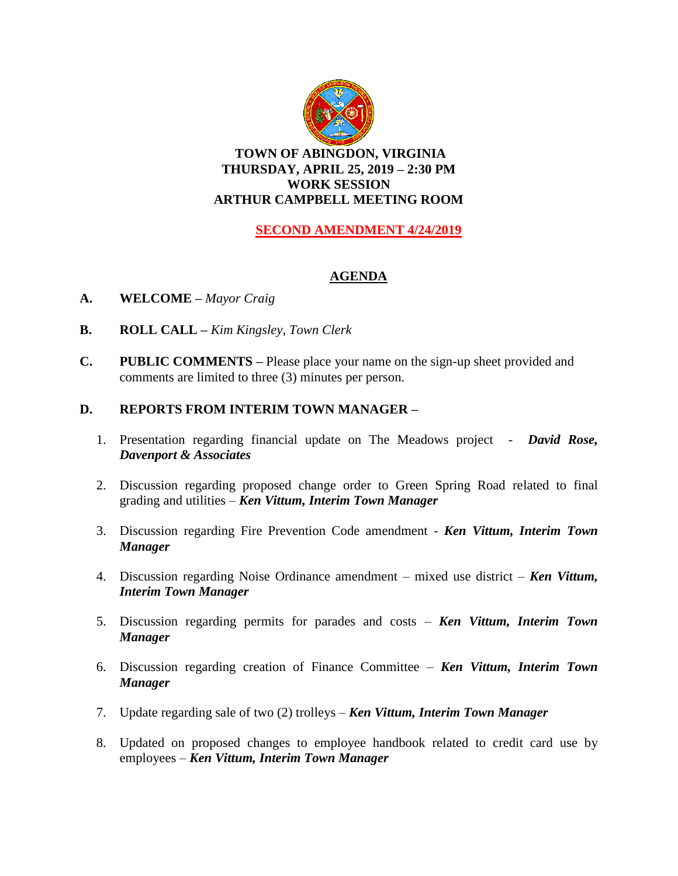

## **TOWN OF ABINGDON, VIRGINIA THURSDAY, APRIL 25, 2019 – 2:30 PM WORK SESSION ARTHUR CAMPBELL MEETING ROOM**

# **SECOND AMENDMENT 4/24/2019**

# **AGENDA**

- **A. WELCOME –** *Mayor Craig*
- **B. ROLL CALL –** *Kim Kingsley, Town Clerk*
- **C. PUBLIC COMMENTS –** Please place your name on the sign-up sheet provided and comments are limited to three (3) minutes per person.

## **D. REPORTS FROM INTERIM TOWN MANAGER –**

- 1. Presentation regarding financial update on The Meadows project *David Rose, Davenport & Associates*
- 2. Discussion regarding proposed change order to Green Spring Road related to final grading and utilities – *Ken Vittum, Interim Town Manager*
- 3. Discussion regarding Fire Prevention Code amendment *Ken Vittum, Interim Town Manager*
- 4. Discussion regarding Noise Ordinance amendment mixed use district *Ken Vittum, Interim Town Manager*
- 5. Discussion regarding permits for parades and costs *Ken Vittum, Interim Town Manager*
- 6. Discussion regarding creation of Finance Committee *Ken Vittum, Interim Town Manager*
- 7. Update regarding sale of two (2) trolleys *Ken Vittum, Interim Town Manager*
- 8. Updated on proposed changes to employee handbook related to credit card use by employees – *Ken Vittum, Interim Town Manager*